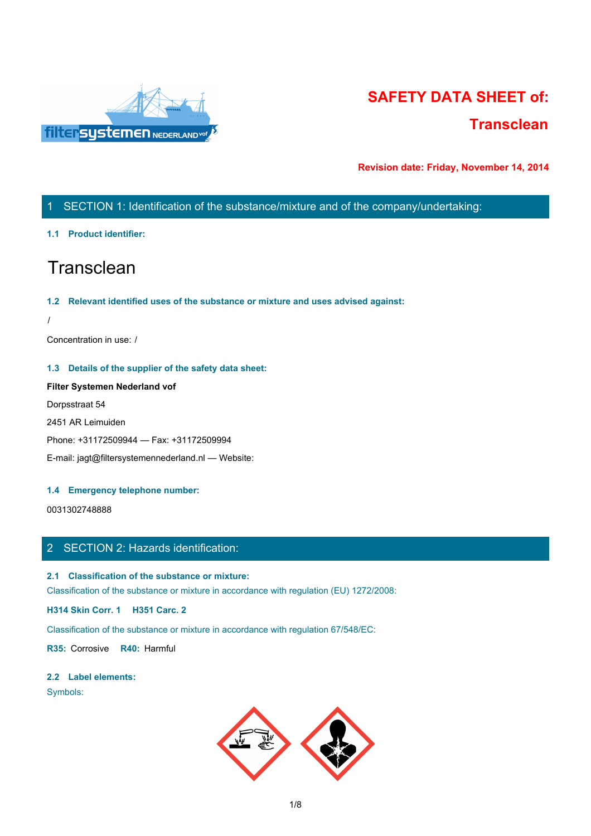

# **SAFETY DATA SHEET of: Transclean**

**Revision date: Friday, November 14, 2014**

# 1 SECTION 1: Identification of the substance/mixture and of the company/undertaking:

## **1.1 Product identifier:**

# **Transclean**

### **1.2 Relevant identified uses of the substance or mixture and uses advised against:**

/

Concentration in use: /

## **1.3 Details of the supplier of the safety data sheet:**

**Filter Systemen Nederland vof** Dorpsstraat 54 2451 AR Leimuiden Phone: +31172509944 — Fax: +31172509994 E-mail: jagt@filtersystemennederland.nl — Website:

### **1.4 Emergency telephone number:**

0031302748888

# 2 SECTION 2: Hazards identification:

## **2.1 Classification of the substance or mixture:**

Classification of the substance or mixture in accordance with regulation (EU) 1272/2008:

**H314 Skin Corr. 1 H351 Carc. 2**

Classification of the substance or mixture in accordance with regulation 67/548/EC:

**R35:** Corrosive **R40:** Harmful

### **2.2 Label elements:**

Symbols:

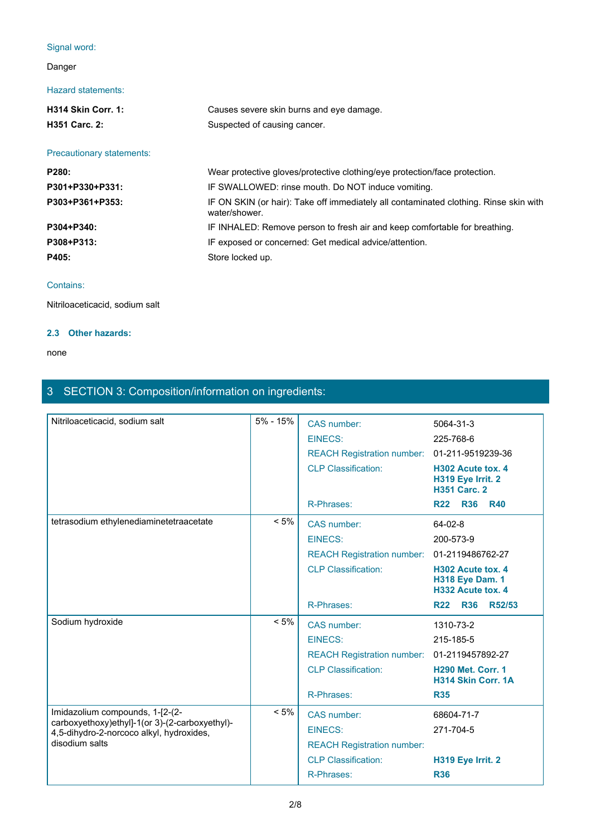# Signal word:

# Danger

## Hazard statements:

| <b>H314 Skin Corr. 1:</b>        | Causes severe skin burns and eye damage.                                                               |
|----------------------------------|--------------------------------------------------------------------------------------------------------|
| <b>H351 Carc. 2:</b>             | Suspected of causing cancer.                                                                           |
|                                  |                                                                                                        |
| <b>Precautionary statements:</b> |                                                                                                        |
| <b>P280:</b>                     | Wear protective gloves/protective clothing/eye protection/face protection.                             |
| P301+P330+P331:                  | IF SWALLOWED: rinse mouth. Do NOT induce vomiting.                                                     |
| P303+P361+P353:                  | IF ON SKIN (or hair): Take off immediately all contaminated clothing. Rinse skin with<br>water/shower. |
| P304+P340:                       | IF INHALED: Remove person to fresh air and keep comfortable for breathing.                             |
| P308+P313:                       | IF exposed or concerned: Get medical advice/attention.                                                 |

P405: **P405:** Store locked up.

## Contains:

Nitriloaceticacid, sodium salt

# **2.3 Other hazards:**

#### none and the state of the state of the state of the state of the state of the state of the state of the state of the state of the state of the state of the state of the state of the state of the state of the state of the s

# 3 SECTION 3: Composition/information on ingredients:

| 5% - 15%<br>CAS number:<br>5064-31-3<br><b>EINECS:</b><br>225-768-6<br>REACH Registration number: 01-211-9519239-36<br><b>CLP Classification:</b><br>H302 Acute tox. 4<br>H319 Eye Irrit. 2<br><b>H351 Carc. 2</b><br>R-Phrases:<br><b>R36</b><br><b>R22</b><br><b>R40</b><br>$< 5\%$<br>CAS number:<br>64-02-8<br>EINECS:<br>200-573-9<br>REACH Registration number: 01-2119486762-27<br><b>CLP Classification:</b><br>H302 Acute tox. 4<br><b>H318 Eye Dam. 1</b><br>H332 Acute tox. 4<br>R-Phrases:<br>R22 R36<br><b>R52/53</b><br>$< 5\%$<br>CAS number:<br>1310-73-2<br>EINECS:<br>215-185-5<br>REACH Registration number: 01-2119457892-27<br><b>CLP Classification:</b><br><b>H290 Met. Corr. 1</b><br>H314 Skin Corr. 1A<br>R-Phrases:<br><b>R35</b><br>$< 5\%$<br>CAS number:<br>68604-71-7<br>carboxyethoxy)ethyl]-1(or 3)-(2-carboxyethyl)-<br><b>EINECS:</b><br>271-704-5<br>4,5-dihydro-2-norcoco alkyl, hydroxides,<br><b>REACH Registration number:</b><br><b>CLP Classification:</b><br>H319 Eye Irrit. 2<br>R-Phrases:<br><b>R36</b> |                                         |  |  |
|-------------------------------------------------------------------------------------------------------------------------------------------------------------------------------------------------------------------------------------------------------------------------------------------------------------------------------------------------------------------------------------------------------------------------------------------------------------------------------------------------------------------------------------------------------------------------------------------------------------------------------------------------------------------------------------------------------------------------------------------------------------------------------------------------------------------------------------------------------------------------------------------------------------------------------------------------------------------------------------------------------------------------------------------------------|-----------------------------------------|--|--|
|                                                                                                                                                                                                                                                                                                                                                                                                                                                                                                                                                                                                                                                                                                                                                                                                                                                                                                                                                                                                                                                       | Nitriloaceticacid, sodium salt          |  |  |
|                                                                                                                                                                                                                                                                                                                                                                                                                                                                                                                                                                                                                                                                                                                                                                                                                                                                                                                                                                                                                                                       |                                         |  |  |
|                                                                                                                                                                                                                                                                                                                                                                                                                                                                                                                                                                                                                                                                                                                                                                                                                                                                                                                                                                                                                                                       |                                         |  |  |
|                                                                                                                                                                                                                                                                                                                                                                                                                                                                                                                                                                                                                                                                                                                                                                                                                                                                                                                                                                                                                                                       |                                         |  |  |
|                                                                                                                                                                                                                                                                                                                                                                                                                                                                                                                                                                                                                                                                                                                                                                                                                                                                                                                                                                                                                                                       |                                         |  |  |
|                                                                                                                                                                                                                                                                                                                                                                                                                                                                                                                                                                                                                                                                                                                                                                                                                                                                                                                                                                                                                                                       | tetrasodium ethylenediaminetetraacetate |  |  |
|                                                                                                                                                                                                                                                                                                                                                                                                                                                                                                                                                                                                                                                                                                                                                                                                                                                                                                                                                                                                                                                       |                                         |  |  |
|                                                                                                                                                                                                                                                                                                                                                                                                                                                                                                                                                                                                                                                                                                                                                                                                                                                                                                                                                                                                                                                       |                                         |  |  |
|                                                                                                                                                                                                                                                                                                                                                                                                                                                                                                                                                                                                                                                                                                                                                                                                                                                                                                                                                                                                                                                       |                                         |  |  |
|                                                                                                                                                                                                                                                                                                                                                                                                                                                                                                                                                                                                                                                                                                                                                                                                                                                                                                                                                                                                                                                       |                                         |  |  |
|                                                                                                                                                                                                                                                                                                                                                                                                                                                                                                                                                                                                                                                                                                                                                                                                                                                                                                                                                                                                                                                       | Sodium hydroxide                        |  |  |
|                                                                                                                                                                                                                                                                                                                                                                                                                                                                                                                                                                                                                                                                                                                                                                                                                                                                                                                                                                                                                                                       |                                         |  |  |
|                                                                                                                                                                                                                                                                                                                                                                                                                                                                                                                                                                                                                                                                                                                                                                                                                                                                                                                                                                                                                                                       |                                         |  |  |
|                                                                                                                                                                                                                                                                                                                                                                                                                                                                                                                                                                                                                                                                                                                                                                                                                                                                                                                                                                                                                                                       |                                         |  |  |
|                                                                                                                                                                                                                                                                                                                                                                                                                                                                                                                                                                                                                                                                                                                                                                                                                                                                                                                                                                                                                                                       |                                         |  |  |
|                                                                                                                                                                                                                                                                                                                                                                                                                                                                                                                                                                                                                                                                                                                                                                                                                                                                                                                                                                                                                                                       | Imidazolium compounds, 1-[2-(2-         |  |  |
|                                                                                                                                                                                                                                                                                                                                                                                                                                                                                                                                                                                                                                                                                                                                                                                                                                                                                                                                                                                                                                                       |                                         |  |  |
|                                                                                                                                                                                                                                                                                                                                                                                                                                                                                                                                                                                                                                                                                                                                                                                                                                                                                                                                                                                                                                                       | disodium salts                          |  |  |
|                                                                                                                                                                                                                                                                                                                                                                                                                                                                                                                                                                                                                                                                                                                                                                                                                                                                                                                                                                                                                                                       |                                         |  |  |
|                                                                                                                                                                                                                                                                                                                                                                                                                                                                                                                                                                                                                                                                                                                                                                                                                                                                                                                                                                                                                                                       |                                         |  |  |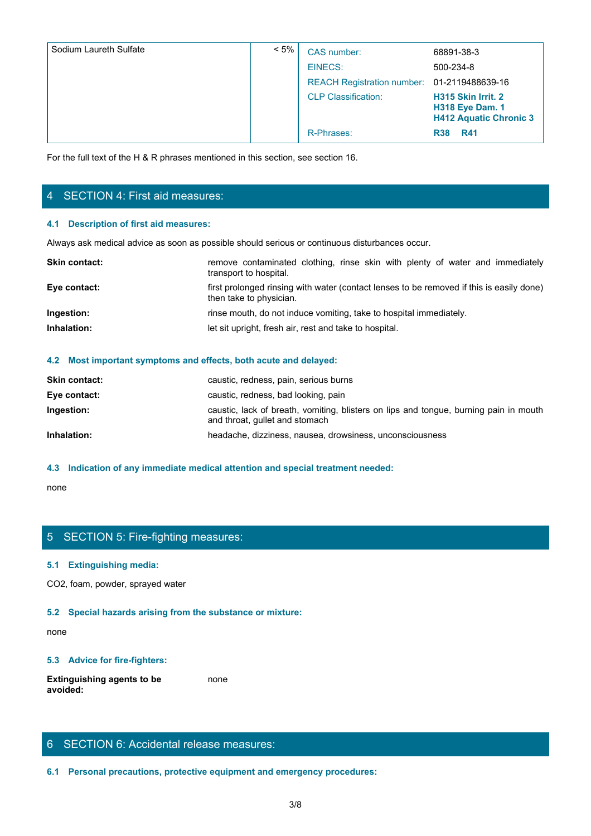| Sodium Laureth Sulfate                 | $< 5\%$                 | CAS number:                                                                                    | 68891-38-3                                                                    |
|----------------------------------------|-------------------------|------------------------------------------------------------------------------------------------|-------------------------------------------------------------------------------|
|                                        |                         | <b>EINECS:</b>                                                                                 | 500-234-8                                                                     |
|                                        |                         | <b>REACH Registration number:</b>                                                              | 01-2119488639-16                                                              |
|                                        |                         | <b>CLP Classification:</b>                                                                     | H315 Skin Irrit. 2<br><b>H318 Eye Dam. 1</b><br><b>H412 Aquatic Chronic 3</b> |
|                                        |                         | R-Phrases:                                                                                     | R38 R41                                                                       |
| 4 SECTION 4: First aid measures:       |                         |                                                                                                |                                                                               |
| 4.1 Description of first aid measures: |                         |                                                                                                |                                                                               |
|                                        |                         | Always ask medical advice as soon as possible should serious or continuous disturbances occur. |                                                                               |
| Skin contact:                          | transport to hospital.  | remove contaminated clothing, rinse skin with plenty of water and immediately                  |                                                                               |
| Eye contact:                           | then take to physician. | first prolonged rinsing with water (contact lenses to be removed if this is easily done)       |                                                                               |
| Ingestion:                             |                         | rinse mouth, do not induce vomiting, take to hospital immediately.                             |                                                                               |
| Inhalation:                            |                         | let sit upright, fresh air, rest and take to hospital.                                         |                                                                               |
|                                        |                         |                                                                                                |                                                                               |

# 4 SECTION 4: First aid measures:

## **4.1 Description of first aid measures:**

| <b>Skin contact:</b> | remove contaminated clothing, rinse skin with plenty of water and immediately<br>transport to hospital.             |
|----------------------|---------------------------------------------------------------------------------------------------------------------|
| Eye contact:         | first prolonged rinsing with water (contact lenses to be removed if this is easily done)<br>then take to physician. |
| Ingestion:           | rinse mouth, do not induce vomiting, take to hospital immediately.                                                  |
| Inhalation:          | let sit upright, fresh air, rest and take to hospital.                                                              |
|                      |                                                                                                                     |

#### **4.2 Most important symptoms and effects, both acute and delayed:**

| <b>Skin contact:</b> | caustic, redness, pain, serious burns                                                                                   |
|----------------------|-------------------------------------------------------------------------------------------------------------------------|
| Eye contact:         | caustic, redness, bad looking, pain                                                                                     |
| Ingestion:           | caustic, lack of breath, vomiting, blisters on lips and tongue, burning pain in mouth<br>and throat, gullet and stomach |
| Inhalation:          | headache, dizziness, nausea, drowsiness, unconsciousness                                                                |
|                      |                                                                                                                         |

## **4.3 Indication of any immediate medical attention and special treatment needed:**

none and the state of the state of the state of the state of the state of the state of the state of the state of the state of the state of the state of the state of the state of the state of the state of the state of the s

## 5 SECTION 5: Fire-fighting measures:

#### **5.1 Extinguishing media:**

CO2, foam, powder, sprayed water

#### **5.2 Special hazards arising from the substance or mixture:**

none and the state of the state of the state of the state of the state of the state of the state of the state of the state of the state of the state of the state of the state of the state of the state of the state of the s

#### **5.3 Advice for fire-fighters:**

**Extinguishing agents to be avoided:** none and the state of the state of the state of the state of the state of the state of the state of the state of the state of the state of the state of the state of the state of the state of the state of the state of the s

# 6 SECTION 6: Accidental release measures:

**6.1 Personal precautions, protective equipment and emergency procedures:**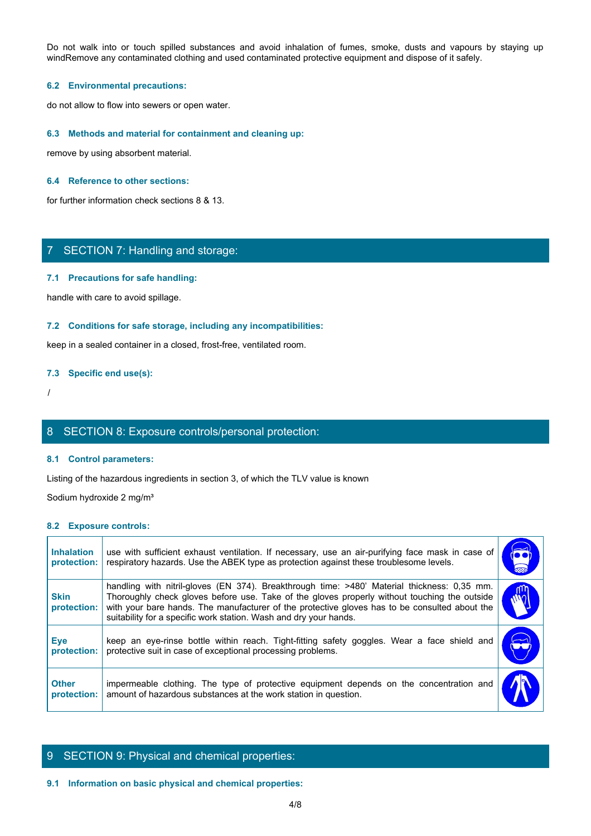Do not walk into or touch spilled substances and avoid inhalation of fumes, smoke, dusts and vapours by staying up<br>windRemove any contaminated clothing and used contaminated protective equipment and dispose of it safely.<br>6 windRemove any contaminated clothing and used contaminated protective equipment and dispose of it safely.

#### **6.2 Environmental precautions:**

do not allow to flow into sewers or open water.

#### **6.3 Methods and material for containment and cleaning up:**

remove by using absorbent material.

#### **6.4 Reference to other sections:**

for further information check sections 8 & 13.

# 7 SECTION 7: Handling and storage:

#### **7.1 Precautions for safe handling:**

#### **7.2 Conditions for safe storage, including any incompatibilities:**

#### **7.3 Specific end use(s):**

# 8 SECTION 8: Exposure controls/personal protection:

#### **8.1 Control parameters:**

#### **8.2 Exposure controls:**

|                                  | 7 SECTION 7: Handling and storage:                                                                                                                                                                                                                                                                                                                                |                       |
|----------------------------------|-------------------------------------------------------------------------------------------------------------------------------------------------------------------------------------------------------------------------------------------------------------------------------------------------------------------------------------------------------------------|-----------------------|
|                                  | 7.1 Precautions for safe handling:                                                                                                                                                                                                                                                                                                                                |                       |
|                                  | handle with care to avoid spillage.                                                                                                                                                                                                                                                                                                                               |                       |
|                                  | 7.2 Conditions for safe storage, including any incompatibilities:                                                                                                                                                                                                                                                                                                 |                       |
|                                  | keep in a sealed container in a closed, frost-free, ventilated room.                                                                                                                                                                                                                                                                                              |                       |
| 7.3 Specific end use(s):         |                                                                                                                                                                                                                                                                                                                                                                   |                       |
|                                  |                                                                                                                                                                                                                                                                                                                                                                   |                       |
|                                  | 8 SECTION 8: Exposure controls/personal protection:                                                                                                                                                                                                                                                                                                               |                       |
|                                  | 8.1 Control parameters:                                                                                                                                                                                                                                                                                                                                           |                       |
|                                  | Listing of the hazardous ingredients in section 3, of which the TLV value is known                                                                                                                                                                                                                                                                                |                       |
|                                  | Sodium hydroxide 2 mg/m <sup>3</sup>                                                                                                                                                                                                                                                                                                                              |                       |
| 8.2 Exposure controls:           |                                                                                                                                                                                                                                                                                                                                                                   |                       |
| <b>Inhalation</b><br>protection: | use with sufficient exhaust ventilation. If necessary, use an air-purifying face mask in case of<br>respiratory hazards. Use the ABEK type as protection against these troublesome levels.                                                                                                                                                                        | $\bullet$             |
| <b>Skin</b><br>protection:       | handling with nitril-gloves (EN 374). Breakthrough time: >480' Material thickness: 0,35 mm.<br>Thoroughly check gloves before use. Take of the gloves properly without touching the outside<br>with your bare hands. The manufacturer of the protective gloves has to be consulted about the<br>suitability for a specific work station. Wash and dry your hands. | WÓ                    |
| <b>Eye</b><br>protection:        | keep an eye-rinse bottle within reach. Tight-fitting safety goggles. Wear a face shield and<br>protective suit in case of exceptional processing problems.                                                                                                                                                                                                        | $\blacktriangleright$ |
| <b>Other</b><br>protection:      | impermeable clothing. The type of protective equipment depends on the concentration and<br>amount of hazardous substances at the work station in question.                                                                                                                                                                                                        |                       |

# 9 SECTION 9: Physical and chemical properties:

#### **9.1 Information on basic physical and chemical properties:**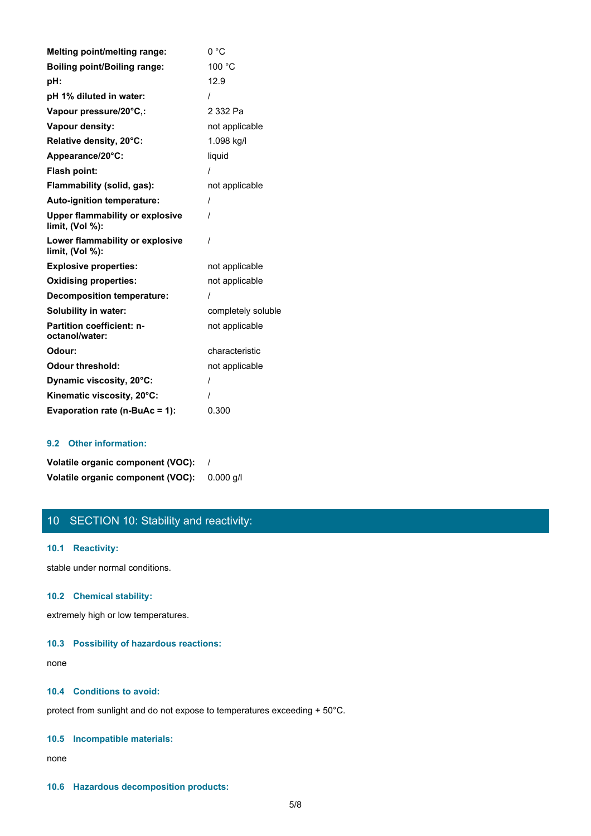| <b>Melting point/melting range:</b>                       | 0 °C               |
|-----------------------------------------------------------|--------------------|
| <b>Boiling point/Boiling range:</b>                       | 100 °C             |
| pH:                                                       | 12.9               |
| pH 1% diluted in water:                                   | I                  |
| Vapour pressure/20°C,:                                    | 2 332 Pa           |
| Vapour density:                                           | not applicable     |
| Relative density, 20°C:                                   | 1.098 kg/l         |
| Appearance/20°C:                                          | liquid             |
| Flash point:                                              |                    |
| Flammability (solid, gas):                                | not applicable     |
| Auto-ignition temperature:                                | $\prime$           |
| <b>Upper flammability or explosive</b><br>limit, (Vol %): | $\prime$           |
| Lower flammability or explosive<br>limit, $(Vol %)$ :     | $\prime$           |
| <b>Explosive properties:</b>                              | not applicable     |
| <b>Oxidising properties:</b>                              | not applicable     |
| <b>Decomposition temperature:</b>                         | $\prime$           |
| <b>Solubility in water:</b>                               | completely soluble |
| <b>Partition coefficient: n-</b><br>octanol/water:        | not applicable     |
| Odour:                                                    | characteristic     |
| <b>Odour threshold:</b>                                   | not applicable     |
| Dynamic viscosity, 20°C:                                  | $\prime$           |
| Kinematic viscosity, 20°C:                                | $\prime$           |
| Evaporation rate (n-BuAc = 1):                            | 0.300              |

## **9.2 Other information:**

| Volatile organic component (VOC): |           |
|-----------------------------------|-----------|
| Volatile organic component (VOC): | 0.000 a/l |

# 10 SECTION 10: Stability and reactivity:

## **10.1 Reactivity:**

stable under normal conditions.

#### **10.2 Chemical stability:**

extremely high or low temperatures.

#### **10.3 Possibility of hazardous reactions:**

none and the state of the state of the state of the state of the state of the state of the state of the state of the state of the state of the state of the state of the state of the state of the state of the state of the s

## **10.4 Conditions to avoid:**

protect from sunlight and do not expose to temperatures exceeding + 50°C.

#### **10.5 Incompatible materials:**

none and the state of the state of the state of the state of the state of the state of the state of the state of the state of the state of the state of the state of the state of the state of the state of the state of the s

#### **10.6 Hazardous decomposition products:**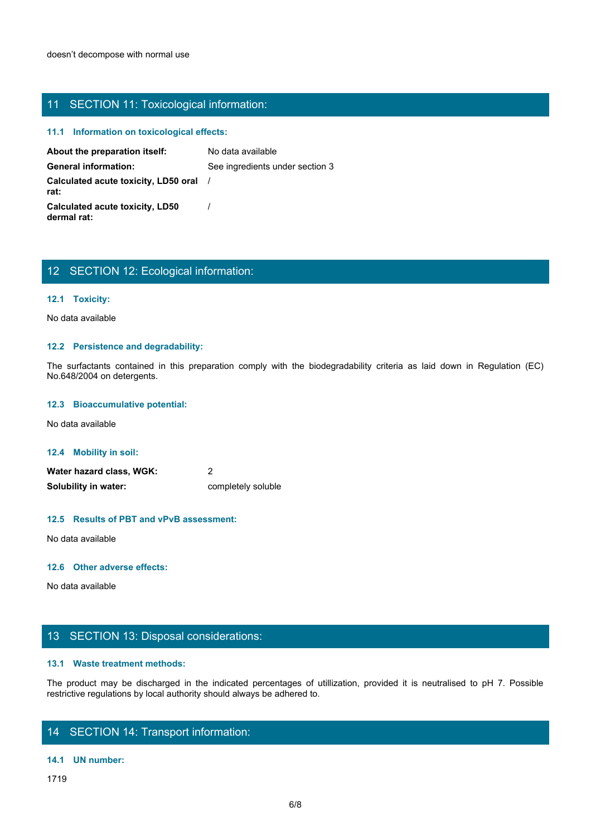# 11 SECTION 11: Toxicological information:

# **11.1 Information on toxicological effects:**

| 11 SECTION 11: Toxicological information:             |                                                                                                                         |
|-------------------------------------------------------|-------------------------------------------------------------------------------------------------------------------------|
| 11.1 Information on toxicological effects:            |                                                                                                                         |
| About the preparation itself:                         | No data available                                                                                                       |
| <b>General information:</b>                           | See ingredients under section 3                                                                                         |
| Calculated acute toxicity, LD50 oral<br>rat:          |                                                                                                                         |
| <b>Calculated acute toxicity, LD50</b><br>dermal rat: |                                                                                                                         |
|                                                       |                                                                                                                         |
|                                                       |                                                                                                                         |
| 12 SECTION 12: Ecological information:                |                                                                                                                         |
|                                                       |                                                                                                                         |
| 12.1 Toxicity:                                        |                                                                                                                         |
| No data available                                     |                                                                                                                         |
|                                                       |                                                                                                                         |
| 12.2 Persistence and degradability:                   |                                                                                                                         |
| No.648/2004 on detergents.                            | The surfactants contained in this preparation comply with the biodegradability criteria as laid down in Regulation (EC) |
| 12.3 Bioaccumulative potential:                       |                                                                                                                         |
| No data available                                     |                                                                                                                         |
|                                                       |                                                                                                                         |

# 12 SECTION 12: Ecological information:

## **12.1 Toxicity:**

#### **12.2 Persistence and degradability:**

#### **12.3 Bioaccumulative potential:**

**12.4 Mobility in soil:**

| Water hazard class, WGK: |                    |
|--------------------------|--------------------|
| Solubility in water:     | completely soluble |

## **12.5 Results of PBT and vPvB assessment:**

No data available

#### **12.6 Other adverse effects:**

No data available

# 13 SECTION 13: Disposal considerations:

#### **13.1 Waste treatment methods:**

The product may be discharged in the indicated percentages of utilization, provided it is neutralised to pH 7. Possible<br>Water hazard class, WGK:<br>The product may be discharged in the indicated percentages of utilization, pr restrictive regulations by local authority should always be adhered to.

## 14 SECTION 14: Transport information:

#### **14.1 UN number:**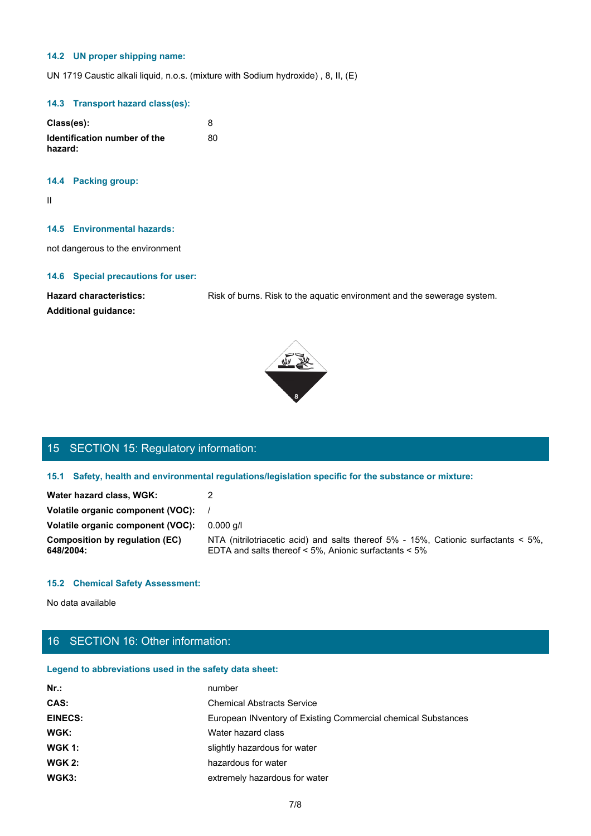#### **14.2 UN proper shipping name:**

UN 1719 Caustic alkali liquid, n.o.s. (mixture with Sodium hydroxide) , 8, II, (E)

## **14.3 Transport hazard class(es):**

| Class(es):                              |    |
|-----------------------------------------|----|
| Identification number of the<br>hazard: | 80 |

#### **14.4 Packing group:**

II and the state of the state of the state of the state of the state of the state of the state of the state of

#### **14.5 Environmental hazards:**

## **14.6 Special precautions for user:**







# 15 SECTION 15: Regulatory information:

| 14.6 Special precautions for user:                            |                                                                                                                                             |  |
|---------------------------------------------------------------|---------------------------------------------------------------------------------------------------------------------------------------------|--|
| <b>Hazard characteristics:</b><br><b>Additional guidance:</b> | Risk of burns. Risk to the aquatic environment and the sewerage system.                                                                     |  |
|                                                               | 丽家                                                                                                                                          |  |
|                                                               |                                                                                                                                             |  |
| 15 SECTION 15: Regulatory information:                        |                                                                                                                                             |  |
|                                                               | 15.1 Safety, health and environmental regulations/legislation specific for the substance or mixture:                                        |  |
| Water hazard class, WGK:                                      | $\overline{2}$                                                                                                                              |  |
| Volatile organic component (VOC):                             |                                                                                                                                             |  |
| Volatile organic component (VOC):                             | $0.000$ g/l                                                                                                                                 |  |
| <b>Composition by regulation (EC)</b><br>648/2004:            | NTA (nitrilotriacetic acid) and salts thereof 5% - 15%, Cationic surfactants < 5%,<br>EDTA and salts thereof < 5%, Anionic surfactants < 5% |  |
| <b>15.2 Chemical Safety Assessment:</b>                       |                                                                                                                                             |  |

## **15.2 Chemical Safety Assessment:**

# 16 SECTION 16: Other information:

## **Legend to abbreviations used in the safety data sheet:**

| $Nr.$ :        | number                                                        |
|----------------|---------------------------------------------------------------|
| CAS:           | <b>Chemical Abstracts Service</b>                             |
| <b>EINECS:</b> | European INventory of Existing Commercial chemical Substances |
| WGK:           | Water hazard class                                            |
| <b>WGK 1:</b>  | slightly hazardous for water                                  |
| <b>WGK 2:</b>  | hazardous for water                                           |
| WGK3:          | extremely hazardous for water                                 |